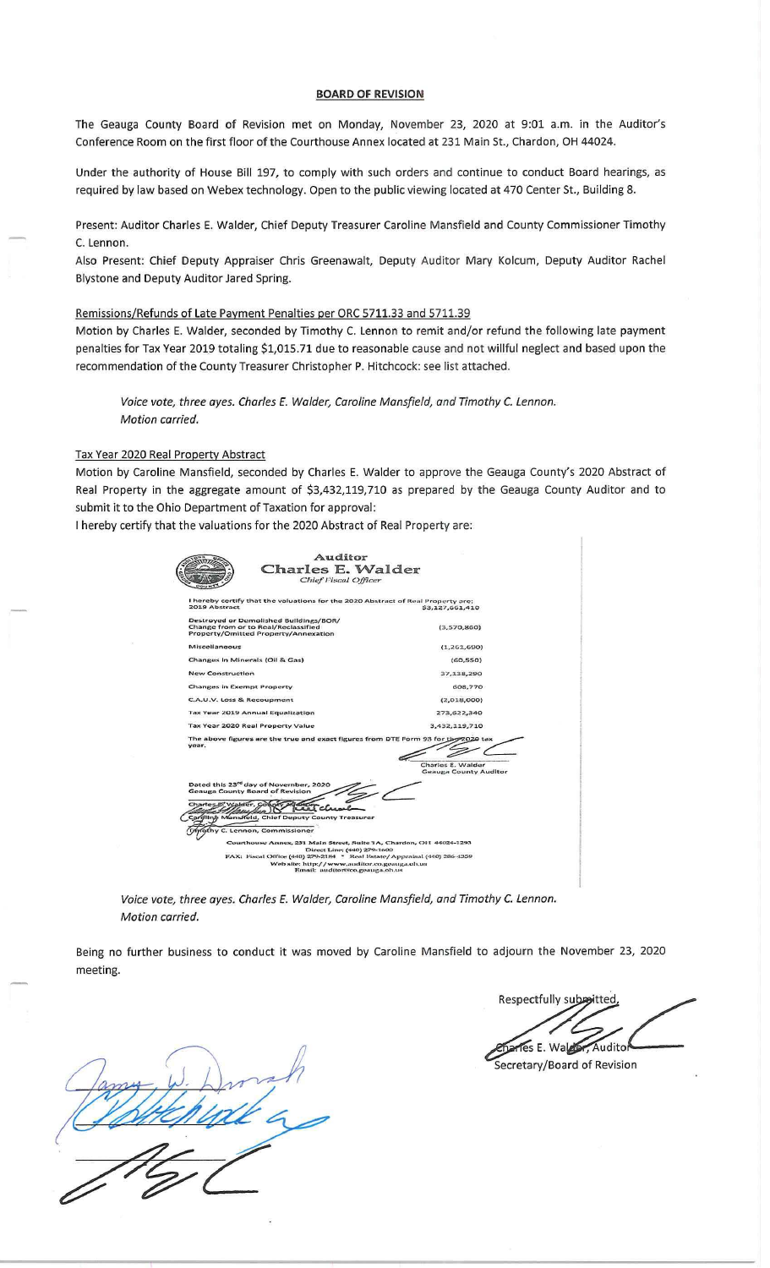## **BOARD OF REVISION**

The Geauga County Board of Revision met on Monday, November 23, 2020 at 9:01 a.m. in the Auditor's Conference Room on the first floor of the Courthouse Annex located at 231 Main St., Chardon, OH 44024.

Under the authority of House Bill 197, to comply with such orders and continue to conduct Board hearings, as required by law based on Webex technology. Open to the public viewing located at 470 Center St., Building 8.

Present: Auditor Charles E. Walder, Chief Deputy Treasurer Caroline Mansfield and County Commissioner Timothy C. Lennon.

Also Present: Chief Deputy Appraiser Chris Greenawalt, Deputy Auditor Mary Kolcum, Deputy Auditor Rachel Blystone and Deputy Auditor Jared Spring.

## Remissions/Refunds of Late Payment Penalties per ORC 5711.33 and 5711.39

Motion by Charles E. Walder, seconded by Timothy C. Lennon to remit and/or refund the following late payment penalties for Tax Year 2019 totaling \$1,015.71 due to reasonable cause and not willful neglect and based upon the recommendation of the County Treasurer Christopher P. Hitchcock: see list attached.

Voice vote, three ayes. Charles E. Walder, Caroline Mansfield, and Timothy *C.* Lennon. Motion carried.

## Tax Year 2020 Real Property Abstract

Motion by Caroline Mansfield, seconded by Charles E. Walder to approve the Geauga County's 2020 Abstract of Real Property in the aggregate amount of \$3,432,119,710 as prepared by the Geauga County Auditor and to submit it to the Ohio Department of Taxation for approval:

I hereby certify that the valuations for the 2020 Abstract of Real Property are:

|                                                                                             | Auditor                                                                                             |
|---------------------------------------------------------------------------------------------|-----------------------------------------------------------------------------------------------------|
|                                                                                             | Charles E. Walder                                                                                   |
|                                                                                             | Chief Fiscal Officer                                                                                |
|                                                                                             |                                                                                                     |
| 2019 Abstract                                                                               | I hereby certify that the valuations for the 2020 Abstract of Real Property are:<br>\$3,127,661,410 |
| Destroyed or Demolished Buildings/BOR/                                                      |                                                                                                     |
| Change from or to Real/Reclassified                                                         | (3,570,860)                                                                                         |
| Property/Omitted Property/Annexation                                                        |                                                                                                     |
| Miscellaneous                                                                               | (1,261,690)                                                                                         |
| Changes in Minerals (Oil & Gas)                                                             | (60, 550)                                                                                           |
| <b>New Construction</b>                                                                     | 37,138,290                                                                                          |
| Changes in Exempt Property                                                                  | 608,770                                                                                             |
| C.A.U.V. Loss & Recoupment                                                                  | (2,018,000)                                                                                         |
| <b>Tax Year 2019 Annual Equalization</b>                                                    | 273,622,340                                                                                         |
| Tax Year 2020 Real Property Value                                                           | 3,432,119,710                                                                                       |
|                                                                                             | The above figures are the true and exact figures from DTE Form 93 for the 2020 tax                  |
| year.                                                                                       |                                                                                                     |
|                                                                                             | Charles E. Walder                                                                                   |
|                                                                                             | <b>Geauga County Auditor</b>                                                                        |
| Dated this 23 <sup>rd</sup> day of November, 2020<br><b>Genuga County Board of Revision</b> |                                                                                                     |
| Charles E. Walde                                                                            |                                                                                                     |
| Caroline Mansfield, Chief Deputy County Treasurer                                           |                                                                                                     |
| thy C. Lennon, Commissioner                                                                 |                                                                                                     |
|                                                                                             | Courthouse Annex, 231 Main Street, Suite 1A, Chardon, OH 44024-1293<br>Direct Line: (440) 279-1600  |
|                                                                                             | FAX: Fiscal Office (440) 279-2184 * Real Estate/Appraisal (440) 286-4359                            |
|                                                                                             | Web site: http://www.auditor.co.geauga.oh.us                                                        |
|                                                                                             | Email: auditor@co.geauga.oh.us                                                                      |
|                                                                                             |                                                                                                     |

Voice vote, three ayes. Charles E. Walder, Caroline Mansfield, and Timothy *C.* Lennon. Motion carried.

Being no further business to conduct it was moved by Caroline Mansfield to adjourn the November 23, 2020 meeting.

Respectfully subsitted Tes E. Walder, Auditor

ecretary/Board of Revision